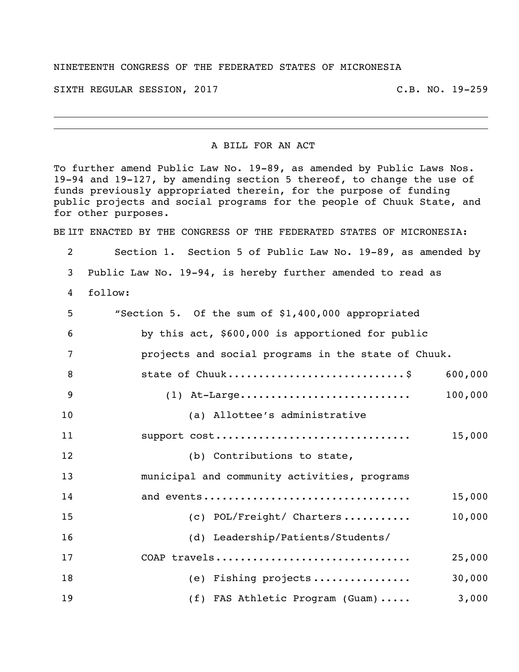## NINETEENTH CONGRESS OF THE FEDERATED STATES OF MICRONESIA

SIXTH REGULAR SESSION, 2017 C.B. NO. 19-259

A BILL FOR AN ACT

To further amend Public Law No. 19-89, as amended by Public Laws Nos. 19-94 and 19-127, by amending section 5 thereof, to change the use of funds previously appropriated therein, for the purpose of funding public projects and social programs for the people of Chuuk State, and for other purposes.

BE IIT ENACTED BY THE CONGRESS OF THE FEDERATED STATES OF MICRONESIA:

 Section 1. Section 5 of Public Law No. 19-89, as amended by Public Law No. 19-94, is hereby further amended to read as follow: "Section 5. Of the sum of \$1,400,000 appropriated

| 6  | by this act, \$600,000 is apportioned for public    |
|----|-----------------------------------------------------|
| 7  | projects and social programs in the state of Chuuk. |
| 8  | state of Chuuk\$<br>600,000                         |
| 9  | 100,000<br>$(1)$ At-Large                           |
| 10 | (a) Allottee's administrative                       |
| 11 | support cost<br>15,000                              |
| 12 | (b) Contributions to state,                         |
| 13 | municipal and community activities, programs        |
| 14 | and events<br>15,000                                |
| 15 | $(c)$ POL/Freight/ Charters<br>10,000               |
| 16 | (d) Leadership/Patients/Students/                   |
| 17 | COAP travels<br>25,000                              |
| 18 | (e) Fishing projects<br>30,000                      |
| 19 | 3,000<br>(f) FAS Athletic Program (Guam)            |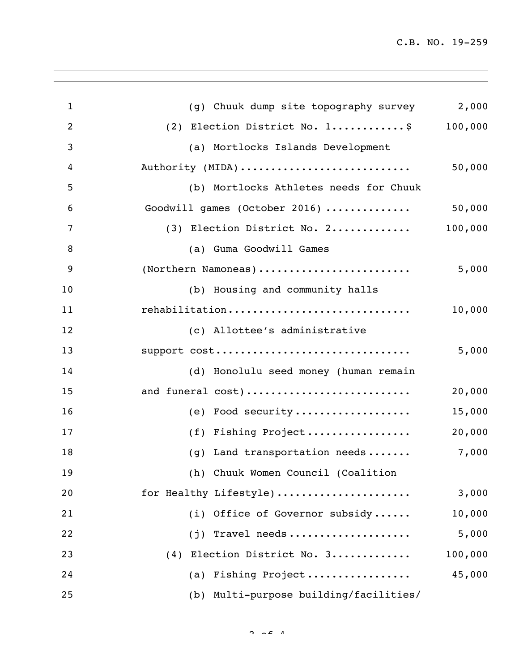C.B. NO. 19-259

| $\mathbf{1}$   | (g) Chuuk dump site topography survey  | 2,000   |
|----------------|----------------------------------------|---------|
| $\overline{2}$ | (2) Election District No. 1\$          | 100,000 |
| 3              | (a) Mortlocks Islands Development      |         |
| 4              | Authority (MIDA)                       | 50,000  |
| 5              | (b) Mortlocks Athletes needs for Chuuk |         |
| 6              | Goodwill games (October 2016)          | 50,000  |
| 7              | (3) Election District No. 2            | 100,000 |
| 8              | (a) Guma Goodwill Games                |         |
| 9              | (Northern Namoneas)                    | 5,000   |
| 10             | (b) Housing and community halls        |         |
| 11             | rehabilitation                         | 10,000  |
| 12             | (c) Allottee's administrative          |         |
| 13             | support cost                           | 5,000   |
| 14             | (d) Honolulu seed money (human remain  |         |
| 15             | and funeral cost)                      | 20,000  |
| 16             | (e) Food security                      | 15,000  |
| 17             | (f) Fishing Project                    | 20,000  |
| 18             | (g) Land transportation needs          | 7,000   |
| 19             | (h) Chuuk Women Council (Coalition     |         |
| 20             | for Healthy Lifestyle)                 | 3,000   |
| 21             | (i) Office of Governor subsidy         | 10,000  |
| 22             | Travel needs<br>(j)                    | 5,000   |
| 23             | (4) Election District No. 3            | 100,000 |
| 24             | (a) Fishing Project                    | 45,000  |
| 25             | (b) Multi-purpose building/facilities/ |         |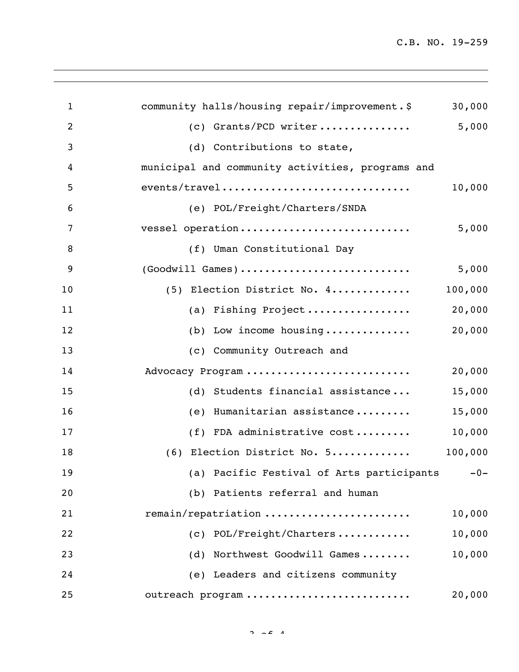C.B. NO. 19-259

| $\mathbf{1}$   | community halls/housing repair/improvement.\$    | 30,000  |
|----------------|--------------------------------------------------|---------|
| $\overline{2}$ | (c) Grants/PCD writer                            | 5,000   |
| 3              | (d) Contributions to state,                      |         |
| 4              | municipal and community activities, programs and |         |
| 5              | events/travel                                    | 10,000  |
| 6              | (e) POL/Freight/Charters/SNDA                    |         |
| 7              | vessel operation                                 | 5,000   |
| 8              | (f) Uman Constitutional Day                      |         |
| 9              | (Goodwill Games)                                 | 5,000   |
| 10             | (5) Election District No. 4                      | 100,000 |
| 11             | (a) Fishing Project                              | 20,000  |
| 12             | (b) Low income housing                           | 20,000  |
| 13             | (c) Community Outreach and                       |         |
| 14             | Advocacy Program                                 | 20,000  |
| 15             | (d) Students financial assistance                | 15,000  |
| 16             | Humanitarian assistance<br>(e)                   | 15,000  |
| 17             | (f) FDA administrative cost                      | 10,000  |
| 18             | (6) Election District No. 5                      | 100,000 |
| 19             | (a) Pacific Festival of Arts participants -0-    |         |
| 20             | (b) Patients referral and human                  |         |
| 21             | remain/repatriation                              | 10,000  |
| 22             | (c) POL/Freight/Charters                         | 10,000  |
| 23             | (d) Northwest Goodwill Games                     | 10,000  |
| 24             | (e) Leaders and citizens community               |         |
| 25             | outreach program                                 | 20,000  |